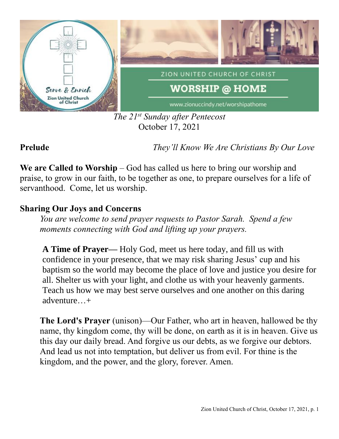

*The 21st Sunday after Pentecost* October 17, 2021

**Prelude** *They'll Know We Are Christians By Our Love*

**We are Called to Worship** – God has called us here to bring our worship and praise, to grow in our faith, to be together as one, to prepare ourselves for a life of servanthood. Come, let us worship.

## **Sharing Our Joys and Concerns**

*You are welcome to send prayer requests to Pastor Sarah. Spend a few moments connecting with God and lifting up your prayers.*

**A Time of Prayer—** Holy God, meet us here today, and fill us with confidence in your presence, that we may risk sharing Jesus' cup and his baptism so the world may become the place of love and justice you desire for all. Shelter us with your light, and clothe us with your heavenly garments. Teach us how we may best serve ourselves and one another on this daring adventure…+

**The Lord's Prayer** (unison)—Our Father, who art in heaven, hallowed be thy name, thy kingdom come, thy will be done, on earth as it is in heaven. Give us this day our daily bread. And forgive us our debts, as we forgive our debtors. And lead us not into temptation, but deliver us from evil. For thine is the kingdom, and the power, and the glory, forever. Amen.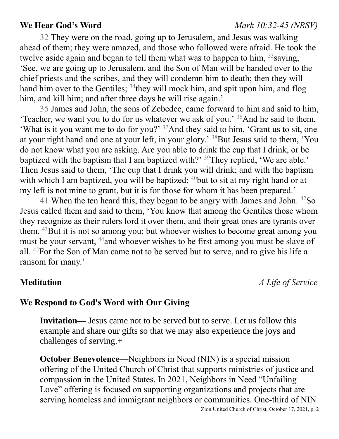### **We Hear God's Word** *Mark 10:32-45 (NRSV)*

32 They were on the road, going up to Jerusalem, and Jesus was walking ahead of them; they were amazed, and those who followed were afraid. He took the twelve aside again and began to tell them what was to happen to him,  $33$  saying, 'See, we are going up to Jerusalem, and the Son of Man will be handed over to the chief priests and the scribes, and they will condemn him to death; then they will hand him over to the Gentiles; <sup>34</sup>they will mock him, and spit upon him, and flog him, and kill him; and after three days he will rise again.'

35 James and John, the sons of Zebedee, came forward to him and said to him, 'Teacher, we want you to do for us whatever we ask of you.'  $36$ And he said to them, 'What is it you want me to do for you?' <sup>37</sup>And they said to him, 'Grant us to sit, one at your right hand and one at your left, in your glory.' <sup>38</sup>But Jesus said to them, 'You do not know what you are asking. Are you able to drink the cup that I drink, or be baptized with the baptism that I am baptized with?'  $39$ They replied, 'We are able.' Then Jesus said to them, 'The cup that I drink you will drink; and with the baptism with which I am baptized, you will be baptized;  $40$  but to sit at my right hand or at my left is not mine to grant, but it is for those for whom it has been prepared.'

41 When the ten heard this, they began to be angry with James and John. <sup>42</sup>So Jesus called them and said to them, 'You know that among the Gentiles those whom they recognize as their rulers lord it over them, and their great ones are tyrants over them. <sup>43</sup>But it is not so among you; but whoever wishes to become great among you must be your servant, <sup>44</sup>and whoever wishes to be first among you must be slave of all. <sup>45</sup>For the Son of Man came not to be served but to serve, and to give his life a ransom for many.'

**Meditation** *A Life of Service*

### **We Respond to God's Word with Our Giving**

**Invitation—** Jesus came not to be served but to serve. Let us follow this example and share our gifts so that we may also experience the joys and challenges of serving.+

**October Benevolence—Neighbors in Need (NIN) is a special mission** offering of the United Church of Christ that supports ministries of justice and compassion in the United States. In 2021, Neighbors in Need "Unfailing Love" offering is focused on supporting organizations and projects that are serving homeless and immigrant neighbors or communities. One-third of NIN